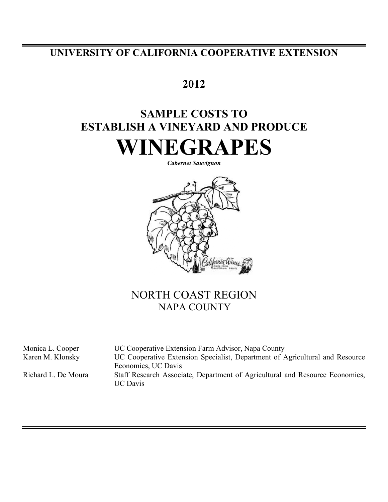## **UNIVERSITY OF CALIFORNIA COOPERATIVE EXTENSION**

## **2012**

# **SAMPLE COSTS TO ESTABLISH A VINEYARD AND PRODUCE WINEGRAPES**

*Cabernet Sauvignon*



## NORTH COAST REGION NAPA COUNTY

Monica L. Cooper UC Cooperative Extension Farm Advisor, Napa County Karen M. Klonsky UC Cooperative Extension Specialist, Department of Agricultural and Resource Economics, UC Davis Richard L. De Moura Staff Research Associate, Department of Agricultural and Resource Economics, UC Davis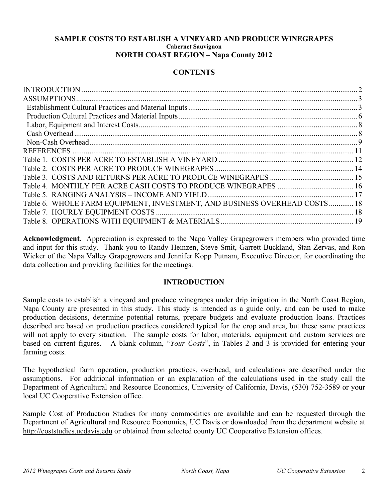### **SAMPLE COSTS TO ESTABLISH A VINEYARD AND PRODUCE WINEGRAPES Cabernet Sauvignon NORTH COAST REGION – Napa County 2012**

## **CONTENTS**

| Table 6. WHOLE FARM EQUIPMENT, INVESTMENT, AND BUSINESS OVERHEAD COSTS 18 |  |
|---------------------------------------------------------------------------|--|
|                                                                           |  |
|                                                                           |  |

**Acknowledgment**. Appreciation is expressed to the Napa Valley Grapegrowers members who provided time and input for this study. Thank you to Randy Heinzen, Steve Smit, Garrett Buckland, Stan Zervas, and Ron Wicker of the Napa Valley Grapegrowers and Jennifer Kopp Putnam, Executive Director, for coordinating the data collection and providing facilities for the meetings.

## **INTRODUCTION**

Sample costs to establish a vineyard and produce winegrapes under drip irrigation in the North Coast Region, Napa County are presented in this study. This study is intended as a guide only, and can be used to make production decisions, determine potential returns, prepare budgets and evaluate production loans. Practices described are based on production practices considered typical for the crop and area, but these same practices will not apply to every situation. The sample costs for labor, materials, equipment and custom services are based on current figures. A blank column, "*Your Costs*", in Tables 2 and 3 is provided for entering your farming costs.

The hypothetical farm operation, production practices, overhead, and calculations are described under the assumptions. For additional information or an explanation of the calculations used in the study call the Department of Agricultural and Resource Economics, University of California, Davis, (530) 752-3589 or your local UC Cooperative Extension office.

Sample Cost of Production Studies for many commodities are available and can be requested through the Department of Agricultural and Resource Economics, UC Davis or downloaded from the department website at http://coststudies.ucdavis.edu or obtained from selected county UC Cooperative Extension offices.

.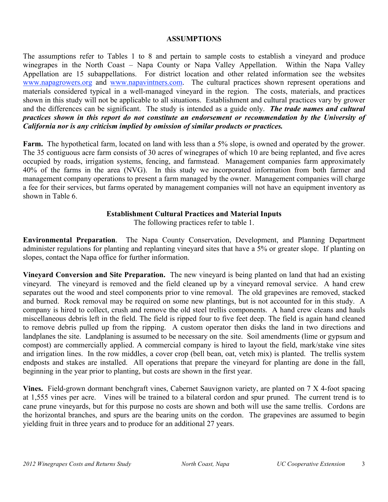### **ASSUMPTIONS**

The assumptions refer to Tables 1 to 8 and pertain to sample costs to establish a vineyard and produce winegrapes in the North Coast – Napa County or Napa Valley Appellation. Within the Napa Valley Appellation are 15 subappellations. For district location and other related information see the websites www.napagrowers.org and www.napavintners.com. The cultural practices shown represent operations and materials considered typical in a well-managed vineyard in the region. The costs, materials, and practices shown in this study will not be applicable to all situations.Establishment and cultural practices vary by grower and the differences can be significant. The study is intended as a guide only. *The trade names and cultural practices shown in this report do not constitute an endorsement or recommendation by the University of California nor is any criticism implied by omission of similar products or practices.*

**Farm.** The hypothetical farm, located on land with less than a 5% slope, is owned and operated by the grower. The 35 contiguous acre farm consists of 30 acres of winegrapes of which 10 are being replanted, and five acres occupied by roads, irrigation systems, fencing, and farmstead. Management companies farm approximately 40% of the farms in the area (NVG). In this study we incorporated information from both farmer and management company operations to present a farm managed by the owner. Management companies will charge a fee for their services, but farms operated by management companies will not have an equipment inventory as shown in Table 6.

## **Establishment Cultural Practices and Material Inputs**

The following practices refer to table 1.

**Environmental Preparation**. The Napa County Conservation, Development, and Planning Department administer regulations for planting and replanting vineyard sites that have a 5% or greater slope. If planting on slopes, contact the Napa office for further information.

**Vineyard Conversion and Site Preparation.** The new vineyard is being planted on land that had an existing vineyard. The vineyard is removed and the field cleaned up by a vineyard removal service. A hand crew separates out the wood and steel components prior to vine removal. The old grapevines are removed, stacked and burned. Rock removal may be required on some new plantings, but is not accounted for in this study. A company is hired to collect, crush and remove the old steel trellis components. A hand crew cleans and hauls miscellaneous debris left in the field. The field is ripped four to five feet deep. The field is again hand cleaned to remove debris pulled up from the ripping. A custom operator then disks the land in two directions and landplanes the site. Landplaning is assumed to be necessary on the site. Soil amendments (lime or gypsum and compost) are commercially applied. A commercial company is hired to layout the field, mark/stake vine sites and irrigation lines. In the row middles, a cover crop (bell bean, oat, vetch mix) is planted. The trellis system endposts and stakes are installed. All operations that prepare the vineyard for planting are done in the fall, beginning in the year prior to planting, but costs are shown in the first year.

**Vines.** Field-grown dormant benchgraft vines, Cabernet Sauvignon variety, are planted on 7 X 4-foot spacing at 1,555 vines per acre. Vines will be trained to a bilateral cordon and spur pruned. The current trend is to cane prune vineyards, but for this purpose no costs are shown and both will use the same trellis. Cordons are the horizontal branches, and spurs are the bearing units on the cordon. The grapevines are assumed to begin yielding fruit in three years and to produce for an additional 27 years.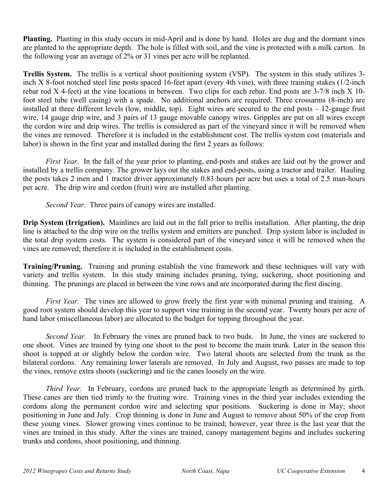**Planting.** Planting in this study occurs in mid-April and is done by hand. Holes are dug and the dormant vines are planted to the appropriate depth. The hole is filled with soil, and the vine is protected with a milk carton. In the following year an average of 2% or 31 vines per acre will be replanted.

**Trellis System.** The trellis is a vertical shoot positioning system (VSP). The system in this study utilizes 3 inch X 8-foot notched steel line posts spaced 16-feet apart (every 4th vine), with three training stakes (1/2-inch rebar rod X 4-feet) at the vine locations in between. Two clips for each rebar. End posts are 3-7/8 inch X 10 foot steel tube (well casing) with a spade. No additional anchors are required. Three crossarms (8-inch) are installed at three different levels (low, middle, top). Eight wires are secured to the end posts – 12-gauge fruit wire, 14 gauge drip wire, and 3 pairs of 13 gauge movable canopy wires. Gripples are put on all wires except the cordon wire and drip wires. The trellis is considered as part of the vineyard since it will be removed when the vines are removed. Therefore it is included in the establishment cost. The trellis system cost (materials and labor) is shown in the first year and installed during the first 2 years as follows:

*First Year.* In the fall of the year prior to planting, end-posts and stakes are laid out by the grower and installed by a trellis company. The grower lays out the stakes and end-posts, using a tractor and trailer. Hauling the posts takes 2 men and 1 tractor driver approximately 0.83 hours per acre but uses a total of 2.5 man-hours per acre. The drip wire and cordon (fruit) wire are installed after planting.

*Second Year.* Three pairs of canopy wires are installed.

**Drip System (Irrigation).** Mainlines are laid out in the fall prior to trellis installation. After planting, the drip line is attached to the drip wire on the trellis system and emitters are punched. Drip system labor is included in the total drip system costs. The system is considered part of the vineyard since it will be removed when the vines are removed; therefore it is included in the establishment costs.

**Training/Pruning.** Training and pruning establish the vine framework and these techniques will vary with variety and trellis system. In this study training includes pruning, tying, suckering, shoot positioning and thinning. The prunings are placed in between the vine rows and are incorporated during the first discing.

*First Year.* The vines are allowed to grow freely the first year with minimal pruning and training. A good root system should develop this year to support vine training in the second year. Twenty hours per acre of hand labor (miscellaneous labor) are allocated to the budget for topping throughout the year.

*Second Year.* In February the vines are pruned back to two buds. In June, the vines are suckered to one shoot. Vines are trained by tying one shoot to the post to become the main trunk. Later in the season this shoot is topped at or slightly below the cordon wire. Two lateral shoots are selected from the trunk as the bilateral cordons. Any remaining lower laterals are removed. In July and August, two passes are made to top the vines, remove extra shoots (suckering) and tie the canes loosely on the wire.

*Third Year.* In February, cordons are pruned back to the appropriate length as determined by girth. These canes are then tied trimly to the fruiting wire. Training vines in the third year includes extending the cordons along the permanent cordon wire and selecting spur positions. Suckering is done in May; shoot positioning in June and July. Crop thinning is done in June and August to remove about 50% of the crop from these young vines. Slower growing vines continue to be trained; however, year three is the last year that the vines are trained in this study. After the vines are trained, canopy management begins and includes suckering trunks and cordons, shoot positioning, and thinning.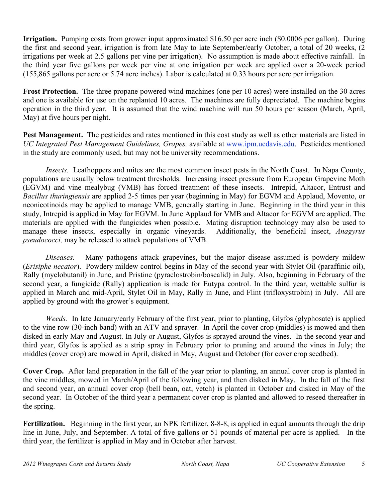**Irrigation.** Pumping costs from grower input approximated \$16.50 per acre inch (\$0.0006 per gallon). During the first and second year, irrigation is from late May to late September/early October, a total of 20 weeks, (2 irrigations per week at 2.5 gallons per vine per irrigation). No assumption is made about effective rainfall. In the third year five gallons per week per vine at one irrigation per week are applied over a 20-week period (155,865 gallons per acre or 5.74 acre inches). Labor is calculated at 0.33 hours per acre per irrigation.

**Frost Protection.** The three propane powered wind machines (one per 10 acres) were installed on the 30 acres and one is available for use on the replanted 10 acres. The machines are fully depreciated. The machine begins operation in the third year. It is assumed that the wind machine will run 50 hours per season (March, April, May) at five hours per night.

**Pest Management.** The pesticides and rates mentioned in this cost study as well as other materials are listed in *UC Integrated Pest Management Guidelines, Grapes,* available at www.ipm.ucdavis.edu. Pesticides mentioned in the study are commonly used, but may not be university recommendations.

*Insects.* Leafhoppers and mites are the most common insect pests in the North Coast. In Napa County, populations are usually below treatment thresholds. Increasing insect pressure from European Grapevine Moth (EGVM) and vine mealybug (VMB) has forced treatment of these insects. Intrepid, Altacor, Entrust and *Bacillus thuringiensis* are applied 2-5 times per year (beginning in May) for EGVM and Applaud, Movento, or neonicotinoids may be applied to manage VMB, generally starting in June. Beginning in the third year in this study, Intrepid is applied in May for EGVM. In June Applaud for VMB and Altacor for EGVM are applied. The materials are applied with the fungicides when possible. Mating disruption technology may also be used to manage these insects, especially in organic vineyards. Additionally, the beneficial insect, *Anagyrus pseudococci,* may be released to attack populations of VMB.

*Diseases.* Many pathogens attack grapevines, but the major disease assumed is powdery mildew (*Erisiphe necator*). Powdery mildew control begins in May of the second year with Stylet Oil (paraffinic oil), Rally (myclobutanil) in June, and Pristine (pyraclostrobin/boscalid) in July. Also, beginning in February of the second year, a fungicide (Rally) application is made for Eutypa control. In the third year, wettable sulfur is applied in March and mid-April, Stylet Oil in May, Rally in June, and Flint (trifloxystrobin) in July. All are applied by ground with the grower's equipment.

*Weeds.* In late January/early February of the first year, prior to planting, Glyfos (glyphosate) is applied to the vine row (30-inch band) with an ATV and sprayer. In April the cover crop (middles) is mowed and then disked in early May and August. In July or August, Glyfos is sprayed around the vines. In the second year and third year, Glyfos is applied as a strip spray in February prior to pruning and around the vines in July; the middles (cover crop) are mowed in April, disked in May, August and October (for cover crop seedbed).

**Cover Crop.** After land preparation in the fall of the year prior to planting, an annual cover crop is planted in the vine middles, mowed in March/April of the following year, and then disked in May. In the fall of the first and second year, an annual cover crop (bell bean, oat, vetch) is planted in October and disked in May of the second year. In October of the third year a permanent cover crop is planted and allowed to reseed thereafter in the spring.

**Fertilization.** Beginning in the first year, an NPK fertilizer, 8-8-8, is applied in equal amounts through the drip line in June, July, and September. A total of five gallons or 51 pounds of material per acre is applied. In the third year, the fertilizer is applied in May and in October after harvest.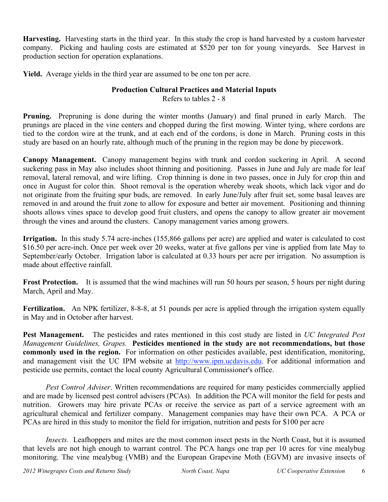**Harvesting.** Harvesting starts in the third year. In this study the crop is hand harvested by a custom harvester company. Picking and hauling costs are estimated at \$520 per ton for young vineyards. See Harvest in production section for operation explanations.

**Yield.** Average yields in the third year are assumed to be one ton per acre.

## **Production Cultural Practices and Material Inputs** Refers to tables 2 - 8

**Pruning.** Prepruning is done during the winter months (January) and final pruned in early March. The prunings are placed in the vine centers and chopped during the first mowing. Winter tying, where cordons are tied to the cordon wire at the trunk, and at each end of the cordons, is done in March. Pruning costs in this study are based on an hourly rate, although much of the pruning in the region may be done by piecework.

**Canopy Management.** Canopy management begins with trunk and cordon suckering in April. A second suckering pass in May also includes shoot thinning and positioning. Passes in June and July are made for leaf removal, lateral removal, and wire lifting. Crop thinning is done in two passes, once in July for crop thin and once in August for color thin. Shoot removal is the operation whereby weak shoots, which lack vigor and do not originate from the fruiting spur buds, are removed. In early June/July after fruit set, some basal leaves are removed in and around the fruit zone to allow for exposure and better air movement. Positioning and thinning shoots allows vines space to develop good fruit clusters, and opens the canopy to allow greater air movement through the vines and around the clusters. Canopy management varies among growers.

**Irrigation.** In this study 5.74 acre-inches (155,866 gallons per acre) are applied and water is calculated to cost \$16.50 per acre-inch. Once per week over 20 weeks, water at five gallons per vine is applied from late May to September/early October. Irrigation labor is calculated at 0.33 hours per acre per irrigation. No assumption is made about effective rainfall.

**Frost Protection.** It is assumed that the wind machines will run 50 hours per season, 5 hours per night during March, April and May.

Fertilization. An NPK fertilizer, 8-8-8, at 51 pounds per acre is applied through the irrigation system equally in May and in October after harvest.

**Pest Management.** The pesticides and rates mentioned in this cost study are listed in *UC Integrated Pest Management Guidelines, Grapes.* **Pesticides mentioned in the study are not recommendations, but those commonly used in the region.** For information on other pesticides available, pest identification, monitoring, and management visit the UC IPM website at http://www.ipm.ucdavis.edu. For additional information and pesticide use permits, contact the local county Agricultural Commissioner's office.

*Pest Control Adviser*. Written recommendations are required for many pesticides commercially applied and are made by licensed pest control advisers (PCAs). In addition the PCA will monitor the field for pests and nutrition. Growers may hire private PCAs or receive the service as part of a service agreement with an agricultural chemical and fertilizer company. Management companies may have their own PCA. A PCA or PCAs are hired in this study to monitor the field for irrigation, nutrition and pests for \$100 per acre

*Insects.* Leafhoppers and mites are the most common insect pests in the North Coast, but it is assumed that levels are not high enough to warrant control. The PCA hangs one trap per 10 acres for vine mealybug monitoring. The vine mealybug (VMB) and the European Grapevine Moth (EGVM) are invasive insects of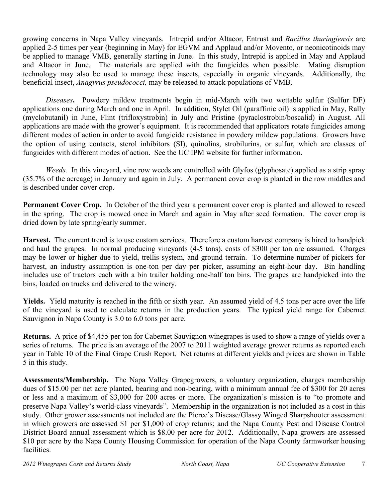growing concerns in Napa Valley vineyards. Intrepid and/or Altacor, Entrust and *Bacillus thuringiensis* are applied 2-5 times per year (beginning in May) for EGVM and Applaud and/or Movento, or neonicotinoids may be applied to manage VMB, generally starting in June. In this study, Intrepid is applied in May and Applaud and Altacor in June. The materials are applied with the fungicides when possible. Mating disruption technology may also be used to manage these insects, especially in organic vineyards. Additionally, the beneficial insect, *Anagyrus pseudococci,* may be released to attack populations of VMB.

*Diseases***.** Powdery mildew treatments begin in mid-March with two wettable sulfur (Sulfur DF) applications one during March and one in April. In addition, Stylet Oil (paraffinic oil) is applied in May, Rally (myclobutanil) in June, Flint (trifloxystrobin) in July and Pristine (pyraclostrobin/boscalid) in August. All applications are made with the grower's equipment. It is recommended that applicators rotate fungicides among different modes of action in order to avoid fungicide resistance in powdery mildew populations. Growers have the option of using contacts, sterol inhibitors (SI), quinolins, strobilurins, or sulfur, which are classes of fungicides with different modes of action. See the UC IPM website for further information.

*Weeds.* In this vineyard, vine row weeds are controlled with Glyfos (glyphosate) applied as a strip spray (35.7% of the acreage) in January and again in July. A permanent cover crop is planted in the row middles and is described under cover crop.

**Permanent Cover Crop.** In October of the third year a permanent cover crop is planted and allowed to reseed in the spring. The crop is mowed once in March and again in May after seed formation. The cover crop is dried down by late spring/early summer.

**Harvest.** The current trend is to use custom services. Therefore a custom harvest company is hired to handpick and haul the grapes. In normal producing vineyards (4-5 tons), costs of \$300 per ton are assumed. Charges may be lower or higher due to yield, trellis system, and ground terrain. To determine number of pickers for harvest, an industry assumption is one-ton per day per picker, assuming an eight-hour day. Bin handling includes use of tractors each with a bin trailer holding one-half ton bins. The grapes are handpicked into the bins, loaded on trucks and delivered to the winery.

**Yields.** Yield maturity is reached in the fifth or sixth year. An assumed yield of 4.5 tons per acre over the life of the vineyard is used to calculate returns in the production years. The typical yield range for Cabernet Sauvignon in Napa County is 3.0 to 6.0 tons per acre.

**Returns.** A price of \$4,455 per ton for Cabernet Sauvignon winegrapes is used to show a range of yields over a series of returns. The price is an average of the 2007 to 2011 weighted average grower returns as reported each year in Table 10 of the Final Grape Crush Report. Net returns at different yields and prices are shown in Table 5 in this study.

**Assessments/Membership.** The Napa Valley Grapegrowers, a voluntary organization, charges membership dues of \$15.00 per net acre planted, bearing and non-bearing, with a minimum annual fee of \$300 for 20 acres or less and a maximum of \$3,000 for 200 acres or more. The organization's mission is to "to promote and preserve Napa Valley's world-class vineyards". Membership in the organization is not included as a cost in this study. Other grower assessments not included are the Pierce's Disease/Glassy Winged Sharpshooter assessment in which growers are assessed \$1 per \$1,000 of crop returns; and the Napa County Pest and Disease Control District Board annual assessment which is \$8.00 per acre for 2012. Additionally, Napa growers are assessed \$10 per acre by the Napa County Housing Commission for operation of the Napa County farmworker housing facilities.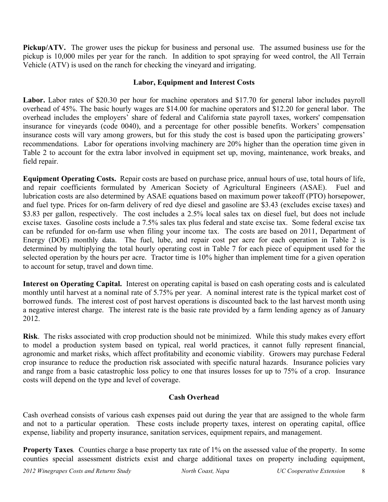**Pickup/ATV.** The grower uses the pickup for business and personal use. The assumed business use for the pickup is 10,000 miles per year for the ranch. In addition to spot spraying for weed control, the All Terrain Vehicle (ATV) is used on the ranch for checking the vineyard and irrigating.

## **Labor, Equipment and Interest Costs**

**Labor.** Labor rates of \$20.30 per hour for machine operators and \$17.70 for general labor includes payroll overhead of 45%. The basic hourly wages are \$14.00 for machine operators and \$12.20 for general labor. The overhead includes the employers' share of federal and California state payroll taxes, workers' compensation insurance for vineyards (code 0040), and a percentage for other possible benefits. Workers' compensation insurance costs will vary among growers, but for this study the cost is based upon the participating growers' recommendations. Labor for operations involving machinery are 20% higher than the operation time given in Table 2 to account for the extra labor involved in equipment set up, moving, maintenance, work breaks, and field repair.

**Equipment Operating Costs.** Repair costs are based on purchase price, annual hours of use, total hours of life, and repair coefficients formulated by American Society of Agricultural Engineers (ASAE). Fuel and lubrication costs are also determined by ASAE equations based on maximum power takeoff (PTO) horsepower, and fuel type. Prices for on-farm delivery of red dye diesel and gasoline are \$3.43 (excludes excise taxes) and \$3.83 per gallon, respectively. The cost includes a 2.5% local sales tax on diesel fuel, but does not include excise taxes. Gasoline costs include a 7.5% sales tax plus federal and state excise tax. Some federal excise tax can be refunded for on-farm use when filing your income tax. The costs are based on 2011, Department of Energy (DOE) monthly data. The fuel, lube, and repair cost per acre for each operation in Table 2 is determined by multiplying the total hourly operating cost in Table 7 for each piece of equipment used for the selected operation by the hours per acre. Tractor time is 10% higher than implement time for a given operation to account for setup, travel and down time.

**Interest on Operating Capital.**Interest on operating capital is based on cash operating costs and is calculated monthly until harvest at a nominal rate of 5.75% per year. A nominal interest rate is the typical market cost of borrowed funds. The interest cost of post harvest operations is discounted back to the last harvest month using a negative interest charge. The interest rate is the basic rate provided by a farm lending agency as of January 2012.

**Risk**. The risks associated with crop production should not be minimized. While this study makes every effort to model a production system based on typical, real world practices, it cannot fully represent financial, agronomic and market risks, which affect profitability and economic viability. Growers may purchase Federal crop insurance to reduce the production risk associated with specific natural hazards. Insurance policies vary and range from a basic catastrophic loss policy to one that insures losses for up to 75% of a crop. Insurance costs will depend on the type and level of coverage.

## **Cash Overhead**

Cash overhead consists of various cash expenses paid out during the year that are assigned to the whole farm and not to a particular operation. These costs include property taxes, interest on operating capital, office expense, liability and property insurance, sanitation services, equipment repairs, and management.

**Property Taxes**. Counties charge a base property tax rate of 1% on the assessed value of the property. In some counties special assessment districts exist and charge additional taxes on property including equipment,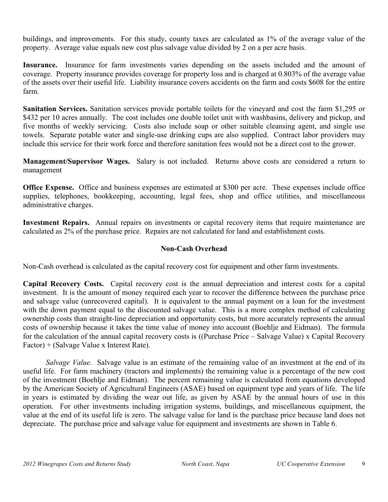buildings, and improvements. For this study, county taxes are calculated as 1% of the average value of the property. Average value equals new cost plus salvage value divided by 2 on a per acre basis.

**Insurance.**Insurance for farm investments varies depending on the assets included and the amount of coverage. Property insurance provides coverage for property loss and is charged at 0.803% of the average value of the assets over their useful life. Liability insurance covers accidents on the farm and costs \$608 for the entire farm.

**Sanitation Services.** Sanitation services provide portable toilets for the vineyard and cost the farm \$1,295 or \$432 per 10 acres annually. The cost includes one double toilet unit with washbasins, delivery and pickup, and five months of weekly servicing. Costs also include soap or other suitable cleansing agent, and single use towels. Separate potable water and single-use drinking cups are also supplied. Contract labor providers may include this service for their work force and therefore sanitation fees would not be a direct cost to the grower.

**Management/Supervisor Wages.** Salary is not included. Returns above costs are considered a return to management

**Office Expense.**Office and business expenses are estimated at \$300 per acre. These expenses include office supplies, telephones, bookkeeping, accounting, legal fees, shop and office utilities, and miscellaneous administrative charges.

**Investment Repairs.** Annual repairs on investments or capital recovery items that require maintenance are calculated as 2% of the purchase price. Repairs are not calculated for land and establishment costs.

## **Non-Cash Overhead**

Non-Cash overhead is calculated as the capital recovery cost for equipment and other farm investments.

**Capital Recovery Costs.** Capital recovery cost is the annual depreciation and interest costs for a capital investment. It is the amount of money required each year to recover the difference between the purchase price and salvage value (unrecovered capital). It is equivalent to the annual payment on a loan for the investment with the down payment equal to the discounted salvage value. This is a more complex method of calculating ownership costs than straight-line depreciation and opportunity costs, but more accurately represents the annual costs of ownership because it takes the time value of money into account (Boehlje and Eidman). The formula for the calculation of the annual capital recovery costs is ((Purchase Price – Salvage Value) x Capital Recovery Factor) + (Salvage Value x Interest Rate).

*Salvage Value*. Salvage value is an estimate of the remaining value of an investment at the end of its useful life. For farm machinery (tractors and implements) the remaining value is a percentage of the new cost of the investment (Boehlje and Eidman). The percent remaining value is calculated from equations developed by the American Society of Agricultural Engineers (ASAE) based on equipment type and years of life. The life in years is estimated by dividing the wear out life, as given by ASAE by the annual hours of use in this operation. For other investments including irrigation systems, buildings, and miscellaneous equipment, the value at the end of its useful life is zero. The salvage value for land is the purchase price because land does not depreciate. The purchase price and salvage value for equipment and investments are shown in Table 6.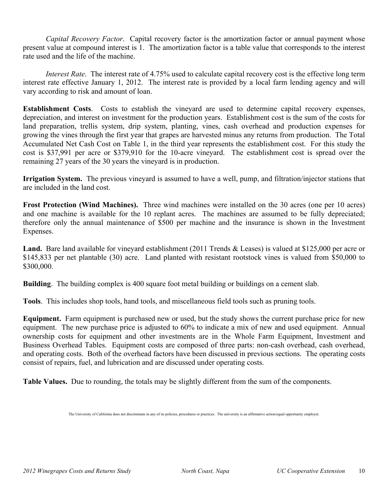*Capital Recovery Factor*. Capital recovery factor is the amortization factor or annual payment whose present value at compound interest is 1. The amortization factor is a table value that corresponds to the interest rate used and the life of the machine.

*Interest Rate*. The interest rate of 4.75% used to calculate capital recovery cost is the effective long term interest rate effective January 1, 2012. The interest rate is provided by a local farm lending agency and will vary according to risk and amount of loan.

**Establishment Costs**. Costs to establish the vineyard are used to determine capital recovery expenses, depreciation, and interest on investment for the production years. Establishment cost is the sum of the costs for land preparation, trellis system, drip system, planting, vines, cash overhead and production expenses for growing the vines through the first year that grapes are harvested minus any returns from production. The Total Accumulated Net Cash Cost on Table 1, in the third year represents the establishment cost. For this study the cost is \$37,991 per acre or \$379,910 for the 10-acre vineyard. The establishment cost is spread over the remaining 27 years of the 30 years the vineyard is in production.

**Irrigation System.** The previous vineyard is assumed to have a well, pump, and filtration/injector stations that are included in the land cost.

**Frost Protection (Wind Machines).** Three wind machines were installed on the 30 acres (one per 10 acres) and one machine is available for the 10 replant acres. The machines are assumed to be fully depreciated; therefore only the annual maintenance of \$500 per machine and the insurance is shown in the Investment Expenses.

Land. Bare land available for vineyard establishment (2011 Trends & Leases) is valued at \$125,000 per acre or \$145,833 per net plantable (30) acre. Land planted with resistant rootstock vines is valued from \$50,000 to \$300,000.

**Building**. The building complex is 400 square foot metal building or buildings on a cement slab.

**Tools**. This includes shop tools, hand tools, and miscellaneous field tools such as pruning tools.

**Equipment.** Farm equipment is purchased new or used, but the study shows the current purchase price for new equipment. The new purchase price is adjusted to 60% to indicate a mix of new and used equipment. Annual ownership costs for equipment and other investments are in the Whole Farm Equipment, Investment and Business Overhead Tables. Equipment costs are composed of three parts: non-cash overhead, cash overhead, and operating costs. Both of the overhead factors have been discussed in previous sections. The operating costs consist of repairs, fuel, and lubrication and are discussed under operating costs.

**Table Values.** Due to rounding, the totals may be slightly different from the sum of the components.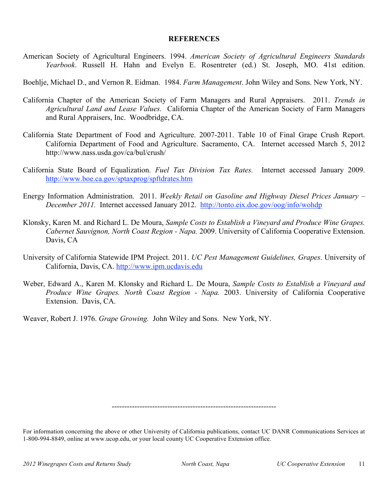### **REFERENCES**

American Society of Agricultural Engineers. 1994. *American Society of Agricultural Engineers Standards Yearbook*. Russell H. Hahn and Evelyn E. Rosentreter (ed.) St. Joseph, MO. 41st edition.

Boehlje, Michael D., and Vernon R. Eidman. 1984. *Farm Management*. John Wiley and Sons. New York, NY.

- California Chapter of the American Society of Farm Managers and Rural Appraisers. 2011. *Trends in Agricultural Land and Lease Values.* California Chapter of the American Society of Farm Managers and Rural Appraisers, Inc. Woodbridge, CA.
- California State Department of Food and Agriculture. 2007-2011. Table 10 of Final Grape Crush Report. California Department of Food and Agriculture. Sacramento, CA. Internet accessed March 5, 2012 http://www.nass.usda.gov/ca/bul/crush/
- California State Board of Equalization. *Fuel Tax Division Tax Rates.* Internet accessed January 2009. http://www.boe.ca.gov/sptaxprog/spftdrates.htm
- Energy Information Administration. 2011. *Weekly Retail on Gasoline and Highway Diesel Prices January – December 2011.* Internet accessed January 2012. http://tonto.eix.doe.gov/oog/info/wohdp
- Klonsky, Karen M. and Richard L. De Moura, *Sample Costs to Establish a Vineyard and Produce Wine Grapes. Cabernet Sauvignon, North Coast Region - Napa.* 2009. University of California Cooperative Extension. Davis, CA
- University of California Statewide IPM Project. 2011. *UC Pest Management Guidelines, Grapes*. University of California, Davis, CA. http://www.ipm.ucdavis.edu
- Weber, Edward A., Karen M. Klonsky and Richard L. De Moura, *Sample Costs to Establish a Vineyard and Produce Wine Grapes. North Coast Region - Napa.* 2003. University of California Cooperative Extension. Davis, CA.

Weaver, Robert J. 1976. *Grape Growing.* John Wiley and Sons. New York, NY.

-----------------------------------------------------------------

For information concerning the above or other University of California publications, contact UC DANR Communications Services at 1-800-994-8849, online at www.ucop.edu, or your local county UC Cooperative Extension office.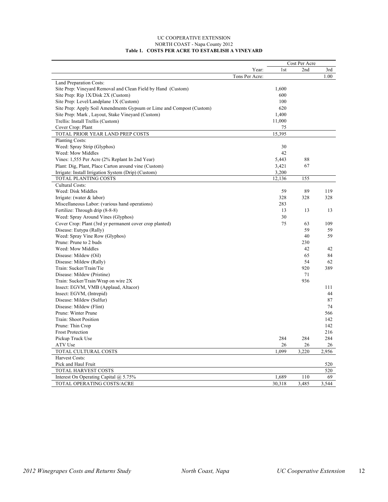#### UC COOPERATIVE EXTENSION NORTH COAST - Napa County 2012 **Table 1. COSTS PER ACRE TO ESTABLISH A VINEYARD**

|                                                                      |                | Cost Per Acre |       |       |  |
|----------------------------------------------------------------------|----------------|---------------|-------|-------|--|
|                                                                      | Year:          | 1st           | 2nd   | 3rd   |  |
|                                                                      | Tons Per Acre: |               |       | 1.00  |  |
| Land Preparation Costs:                                              |                |               |       |       |  |
| Site Prep: Vineyard Removal and Clean Field by Hand (Custom)         |                | 1,600         |       |       |  |
| Site Prep: Rip 1X/Disk 2X (Custom)                                   |                | 600           |       |       |  |
| Site Prep: Level/Landplane 1X (Custom)                               |                | 100           |       |       |  |
| Site Prep: Apply Soil Amendments Gypsum or Lime and Compost (Custom) |                | 620           |       |       |  |
| Site Prep: Mark, Layout, Stake Vineyard (Custom)                     |                | 1,400         |       |       |  |
| Trellis: Install Trellis (Custom)                                    |                | 11,000        |       |       |  |
| Cover Crop: Plant                                                    |                | 75            |       |       |  |
| TOTAL PRIOR YEAR LAND PREP COSTS                                     |                | 15,395        |       |       |  |
| Planting Costs:                                                      |                |               |       |       |  |
| Weed: Spray Strip (Glyphos)                                          |                | 30            |       |       |  |
| Weed: Mow Middles                                                    |                | 42            |       |       |  |
| Vines: 1,555 Per Acre (2% Replant In 2nd Year)                       |                | 5,443         | 88    |       |  |
| Plant: Dig, Plant, Place Carton around vine (Custom)                 |                | 3,421         | 67    |       |  |
| Irrigate: Install Irrigation System (Drip) (Custom)                  |                | 3,200         |       |       |  |
| TOTAL PLANTING COSTS                                                 |                | 12,136        | 155   |       |  |
| Cultural Costs:                                                      |                |               |       |       |  |
| Weed: Disk Middles                                                   |                | 59            | 89    | 119   |  |
| Irrigate: (water $&$ labor)                                          |                | 328           | 328   | 328   |  |
| Miscellaneous Labor: (various hand operations)                       |                | 283           |       |       |  |
| Fertilize: Through drip (8-8-8)                                      |                | 13            | 13    | 13    |  |
| Weed: Spray Around Vines (Glyphos)                                   |                | 30            |       |       |  |
| Cover Crop: Plant (3rd yr permanent cover crop planted)              |                | 75            | 63    | 109   |  |
| Disease: Eutypa (Rally)                                              |                |               | 59    | 59    |  |
| Weed: Spray Vine Row (Glyphos)                                       |                |               | 40    | 59    |  |
| Prune: Prune to 2 buds                                               |                |               | 230   |       |  |
| Weed: Mow Middles                                                    |                |               | 42    | 42    |  |
| Disease: Mildew (Oil)                                                |                |               | 65    | 84    |  |
| Disease: Mildew (Rally)                                              |                |               | 54    | 62    |  |
| Train: Sucker/Train/Tie                                              |                |               | 920   | 389   |  |
| Disease: Mildew (Pristine)                                           |                |               | 71    |       |  |
|                                                                      |                |               | 936   |       |  |
| Train: Sucker/Train/Wrap on wire 2X                                  |                |               |       | 111   |  |
| Insect: EGVM, VMB (Applaud, Altacor)                                 |                |               |       | 44    |  |
| Insect: EGVM, (Intrepid)                                             |                |               |       |       |  |
| Disease: Mildew (Sulfur)                                             |                |               |       | 87    |  |
| Disease: Mildew (Flint)                                              |                |               |       | 74    |  |
| Prune: Winter Prune                                                  |                |               |       | 566   |  |
| Train: Shoot Position                                                |                |               |       | 142   |  |
| Prune: Thin Crop                                                     |                |               |       | 142   |  |
| <b>Frost Protection</b>                                              |                |               |       | 216   |  |
| Pickup Truck Use                                                     |                | 284           | 284   | 284   |  |
| ATV Use                                                              |                | 26            | 26    | 26    |  |
| TOTAL CULTURAL COSTS                                                 |                | 1.099         | 3,220 | 2,956 |  |
| Harvest Costs:                                                       |                |               |       |       |  |
| Pick and Haul Fruit                                                  |                |               |       | 520   |  |
| TOTAL HARVEST COSTS                                                  |                |               |       | 520   |  |
| Interest On Operating Capital @ 5.75%                                |                | 1,689         | 110   | 69    |  |
| TOTAL OPERATING COSTS/ACRE                                           |                | 30,318        | 3,485 | 3,544 |  |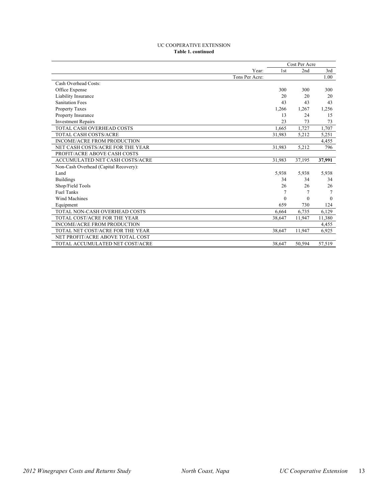#### UC COOPERATIVE EXTENSION **Table 1. continued**

|                                        |                |                 | Cost Per Acre |          |
|----------------------------------------|----------------|-----------------|---------------|----------|
|                                        | Year:          | 1 <sub>st</sub> | 2nd           | 3rd      |
|                                        | Tons Per Acre: |                 |               | 1.00     |
| Cash Overhead Costs:                   |                |                 |               |          |
| Office Expense                         |                | 300             | 300           | 300      |
| Liability Insurance                    |                | 20              | 20            | 20       |
| <b>Sanitation Fees</b>                 |                | 43              | 43            | 43       |
| <b>Property Taxes</b>                  |                | 1,266           | 1,267         | 1,256    |
| Property Insurance                     |                | 13              | 24            | 15       |
| <b>Investment Repairs</b>              |                | 23              | 73            | 73       |
| TOTAL CASH OVERHEAD COSTS              |                | 1.665           | 1,727         | 1,707    |
| <b>TOTAL CASH COSTS/ACRE</b>           |                | 31,983          | 5,212         | 5,251    |
| <b>INCOME/ACRE FROM PRODUCTION</b>     |                |                 |               | 4,455    |
| NET CASH COSTS/ACRE FOR THE YEAR       |                | 31,983          | 5,212         | 796      |
| PROFIT/ACRE ABOVE CASH COSTS           |                |                 |               |          |
| <b>ACCUMULATED NET CASH COSTS/ACRE</b> |                | 31,983          | 37,195        | 37,991   |
| Non-Cash Overhead (Capital Recovery):  |                |                 |               |          |
| Land                                   |                | 5,938           | 5,938         | 5,938    |
| <b>Buildings</b>                       |                | 34              | 34            | 34       |
| Shop/Field Tools                       |                | 26              | 26            | 26       |
| <b>Fuel Tanks</b>                      |                |                 | 7             | $\tau$   |
| Wind Machines                          |                | $\theta$        | $\theta$      | $\Omega$ |
| Equipment                              |                | 659             | 730           | 124      |
| TOTAL NON-CASH OVERHEAD COSTS          |                | 6.664           | 6,735         | 6,129    |
| TOTAL COST/ACRE FOR THE YEAR           |                | 38,647          | 11,947        | 11,380   |
| <b>INCOME/ACRE FROM PRODUCTION</b>     |                |                 |               | 4,455    |
| TOTAL NET COST/ACRE FOR THE YEAR       |                | 38,647          | 11,947        | 6,925    |
| NET PROFIT/ACRE ABOVE TOTAL COST       |                |                 |               |          |
| TOTAL ACCUMULATED NET COST/ACRE        |                | 38,647          | 50,594        | 57,519   |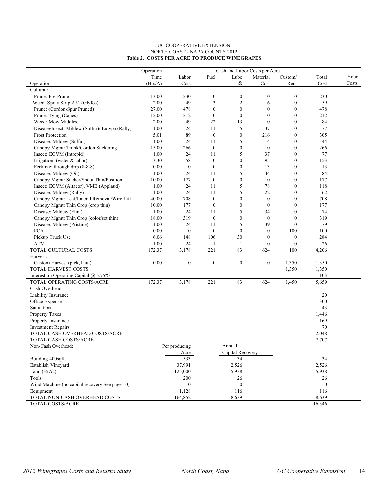#### UC COOPERATIVE EXTENSION NORTH COAST - NAPA COUNTY 2012 **Table 2. COSTS PER ACRE TO PRODUCE WINEGRAPES**

|                                                               | Operation<br>Cash and Labor Costs per Acre |                  |                  |                  |                  |                  |                  |       |
|---------------------------------------------------------------|--------------------------------------------|------------------|------------------|------------------|------------------|------------------|------------------|-------|
|                                                               | Time                                       | Labor            | Fuel             | Lube             | Material         | Custom/          | Total            | Your  |
| Operation                                                     | (Hrs/A)                                    | Cost             |                  | &                | Cost             | Rent             | Cost             | Costs |
| Cultural:                                                     |                                            |                  |                  |                  |                  |                  |                  |       |
| Prune: Pre-Prune                                              | 13.00                                      | 230              | $\boldsymbol{0}$ | $\boldsymbol{0}$ | $\boldsymbol{0}$ | $\boldsymbol{0}$ | 230              |       |
| Weed: Spray Strip 2.5' (Glyfos)                               | 2.00                                       | 49               | 3                | $\overline{2}$   | 6                | $\boldsymbol{0}$ | 59               |       |
| Prune: (Cordon-Spur Pruned)                                   | 27.00                                      | 478              | $\mathbf{0}$     | $\mathbf{0}$     | $\mathbf{0}$     | $\mathbf{0}$     | 478              |       |
| Prune: Tying (Canes)                                          | 12.00                                      | 212              | $\boldsymbol{0}$ | $\boldsymbol{0}$ | $\boldsymbol{0}$ | $\boldsymbol{0}$ | 212              |       |
| Weed: Mow Middles                                             | 2.00                                       | 49               | 22               | 13               | $\overline{0}$   | $\mathbf{0}$     | 84               |       |
| Disease/Insect: Mildew (Sulfur)/ Eutypa (Rally)               | 1.00                                       | 24               | 11               | 5                | 37               | $\mathbf{0}$     | 77               |       |
| <b>Frost Protection</b>                                       | 5.01                                       | 89               | $\boldsymbol{0}$ | $\boldsymbol{0}$ | 216              | $\boldsymbol{0}$ | 305              |       |
| Disease: Mildew (Sulfur)                                      | 1.00                                       | 24               | 11               | 5                | $\overline{4}$   | $\mathbf{0}$     | 44               |       |
| Canopy Mgmt: Trunk/Cordon Suckering                           | 15.00                                      | 266              | $\boldsymbol{0}$ | $\mathbf{0}$     | $\overline{0}$   | $\mathbf{0}$     | 266              |       |
| Insect: EGVM (Intrepid)                                       | 1.00                                       | 24               | 11               | 5                | 37               | $\boldsymbol{0}$ | 77               |       |
| Irrigation: (water & labor)                                   | 3.30                                       | 58               | $\boldsymbol{0}$ | $\boldsymbol{0}$ | 95               | $\mathbf{0}$     | 153              |       |
| Fertilize: through drip (8-8-8)                               | 0.00                                       | $\boldsymbol{0}$ | $\mathbf{0}$     | $\boldsymbol{0}$ | 13               | $\mathbf{0}$     | 13               |       |
| Disease: Mildew (Oil)                                         | 1.00                                       | 24               | 11               | 5                | 44               | $\boldsymbol{0}$ | 84               |       |
| Canopy Mgmt: Sucker/Shoot Thin/Position                       | 10.00                                      | 177              | $\theta$         | $\boldsymbol{0}$ | $\mathbf{0}$     | $\mathbf{0}$     | 177              |       |
| Insect: EGVM (Altacor), VMB (Applaud)                         | 1.00                                       | 24               | 11               | 5                | 78               | $\mathbf{0}$     | 118              |       |
| Disease: Mildew (Rally)                                       | 1.00                                       | 24               | 11               | 5                | 22               | $\boldsymbol{0}$ | 62               |       |
| Canopy Mgmt: Leaf/Lateral Removal/Wire Lift                   | 40.00                                      | 708              | $\boldsymbol{0}$ | $\boldsymbol{0}$ | $\boldsymbol{0}$ | $\boldsymbol{0}$ | 708              |       |
|                                                               | 10.00                                      | 177              | $\boldsymbol{0}$ | $\boldsymbol{0}$ | $\mathbf{0}$     | $\mathbf{0}$     | 177              |       |
| Canopy Mgmt: Thin Crop (crop thin)<br>Disease: Mildew (Flint) |                                            | 24               | 11               | 5                | 34               | $\mathbf{0}$     |                  |       |
|                                                               | 1.00                                       |                  |                  |                  |                  |                  | 74               |       |
| Canopy Mgmt: Thin Crop (color/set thin)                       | 18.00                                      | 319              | $\boldsymbol{0}$ | $\boldsymbol{0}$ | $\mathbf{0}$     | $\boldsymbol{0}$ | 319              |       |
| Disease: Mildew (Pristine)                                    | 1.00                                       | 24               | 11               | 5                | 39               | $\mathbf{0}$     | 79               |       |
| <b>PCA</b>                                                    | 0.00                                       | $\boldsymbol{0}$ | $\theta$         | $\mathbf{0}$     | $\mathbf{0}$     | 100              | 100              |       |
| Pickup Truck Use                                              | 6.06                                       | 148              | 106              | 30               | $\boldsymbol{0}$ | $\boldsymbol{0}$ | 284              |       |
| <b>ATV</b>                                                    | 1.00                                       | 24               | 1                | 1                | $\boldsymbol{0}$ | $\boldsymbol{0}$ | 26               |       |
| TOTAL CULTURAL COSTS                                          | 172.37                                     | 3,178            | 221              | 83               | 624              | 100              | 4,206            |       |
| Harvest:                                                      | 0.00                                       | $\boldsymbol{0}$ | $\boldsymbol{0}$ | $\boldsymbol{0}$ | $\boldsymbol{0}$ |                  |                  |       |
| Custom Harvest (pick, haul)<br>TOTAL HARVEST COSTS            |                                            |                  |                  |                  |                  | 1,350<br>1,350   | 1,350<br>1,350   |       |
| Interest on Operating Capital @ 5.75%                         |                                            |                  |                  |                  |                  |                  | 103              |       |
| TOTAL OPERATING COSTS/ACRE                                    | 172.37                                     | 3,178            | 221              | 83               | 624              | 1,450            | 5,659            |       |
| Cash Overhead:                                                |                                            |                  |                  |                  |                  |                  |                  |       |
| Liability Insurance                                           |                                            |                  |                  |                  |                  |                  | 20               |       |
| Office Expense                                                |                                            |                  |                  |                  |                  |                  | 300              |       |
| Sanitation                                                    |                                            |                  |                  |                  |                  |                  | 43               |       |
| Property Taxes                                                |                                            |                  |                  |                  |                  |                  | 1,446            |       |
|                                                               |                                            |                  |                  |                  |                  |                  | 169              |       |
| Property Insurance<br><b>Investment Repairs</b>               |                                            |                  |                  |                  |                  |                  | $70\,$           |       |
| TOTAL CASH OVERHEAD COSTS/ACRE                                |                                            |                  |                  |                  |                  |                  |                  |       |
|                                                               |                                            |                  |                  |                  |                  |                  | 2,048<br>7,707   |       |
| TOTAL CASH COSTS/ACRE<br>Non-Cash Overhead:                   |                                            | Per producing    |                  | Annual           |                  |                  |                  |       |
|                                                               |                                            |                  |                  | Capital Recovery |                  |                  |                  |       |
|                                                               |                                            | Acre<br>533      |                  |                  |                  |                  |                  |       |
| Building 400sqft                                              |                                            |                  |                  | 34               |                  |                  | 34               |       |
| Establish Vineyard                                            |                                            | 37,991           |                  | 2,526            |                  |                  | 2,526            |       |
| Land (35Ac)                                                   |                                            | 125,000          |                  | 5,938            |                  |                  | 5,938            |       |
| Tools                                                         |                                            | 200              |                  | 26               |                  |                  | 26               |       |
| Wind Machine (no capital recovery See page 10)                |                                            | $\boldsymbol{0}$ |                  | $\boldsymbol{0}$ |                  |                  | $\boldsymbol{0}$ |       |
| Equipment                                                     |                                            | 1,128            |                  | 116              |                  |                  | 116              |       |
| TOTAL NON-CASH OVERHEAD COSTS                                 |                                            | 164,852          |                  | 8,639            |                  |                  | 8,639            |       |
| TOTAL COSTS/ACRE                                              |                                            |                  |                  |                  |                  |                  | 16,346           |       |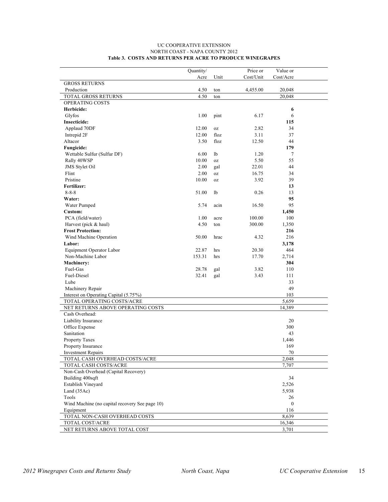|                                                | Quantity/ |      | Price or  | Value or     |  |
|------------------------------------------------|-----------|------|-----------|--------------|--|
|                                                | Acre      | Unit | Cost/Unit | Cost/Acre    |  |
| <b>GROSS RETURNS</b>                           |           |      |           |              |  |
| Production                                     | 4.50      | ton  | 4,455.00  | 20,048       |  |
| TOTAL GROSS RETURNS                            | 4.50      | ton  |           | 20,048       |  |
| OPERATING COSTS                                |           |      |           |              |  |
| Herbicide:                                     |           |      |           | 6            |  |
| Glyfos                                         | 1.00      | pint | 6.17      | 6            |  |
| <b>Insecticide:</b>                            |           |      |           | 115          |  |
| Applaud 70DF                                   | 12.00     | 0Z   | 2.82      | 34           |  |
| Intrepid 2F                                    | 12.00     | floz | 3.11      | 37           |  |
| Altacor                                        | 3.50      | floz | 12.50     | 44           |  |
| Fungicide:                                     |           |      |           | 179          |  |
| Wettable Sulfur (Sulfur DF)                    | 6.00      | 1b   | 1.20      | 7            |  |
| Rally 40WSP                                    | 10.00     | 0Z   | 5.50      | 55           |  |
| JMS Stylet Oil                                 | 2.00      | gal  | 22.01     | 44           |  |
| Flint                                          | 2.00      | 0Z   | 16.75     | 34           |  |
| Pristine                                       | 10.00     | 0Z   | 3.92      | 39           |  |
| Fertilizer:                                    |           |      |           | 13           |  |
| $8 - 8 - 8$                                    | 51.00     | 1b   | 0.26      | 13           |  |
| Water:                                         |           |      |           | 95           |  |
| Water Pumped                                   | 5.74      | acin | 16.50     | 95           |  |
| Custom:                                        |           |      |           | 1,450        |  |
| PCA (field/water)                              | 1.00      | acre | 100.00    | 100          |  |
| Harvest (pick & haul)                          | 4.50      | ton  | 300.00    | 1,350        |  |
| <b>Frost Protection:</b>                       |           |      |           | 216          |  |
| Wind Machine Operation                         | 50.00     | hrac | 4.32      | 216          |  |
| Labor:                                         |           |      |           | 3,178        |  |
| Equipment Operator Labor                       | 22.87     | hrs  | 20.30     | 464          |  |
| Non-Machine Labor                              | 153.31    | hrs  | 17.70     | 2,714        |  |
| Machinery:                                     |           |      |           | 304          |  |
| Fuel-Gas                                       | 28.78     | gal  | 3.82      | 110          |  |
| Fuel-Diesel                                    | 32.41     | gal  | 3.43      | 111          |  |
| Lube                                           |           |      |           | 33           |  |
| Machinery Repair                               |           |      |           | 49           |  |
| Interest on Operating Capital (5.75%)          |           |      |           | 103          |  |
| TOTAL OPERATING COSTS/ACRE                     |           |      |           | 5,659        |  |
| NET RETURNS ABOVE OPERATING COSTS              |           |      |           | 14,389       |  |
| Cash Overhead:                                 |           |      |           |              |  |
| Liability Insurance                            |           |      |           | 20           |  |
| Office Expense                                 |           |      |           | 300          |  |
| Sanitation                                     |           |      |           | 43           |  |
| Property Taxes                                 |           |      |           | 1,446        |  |
| Property Insurance                             |           |      |           | 169          |  |
| <b>Investment Repairs</b>                      |           |      |           | 70           |  |
| TOTAL CASH OVERHEAD COSTS/ACRE                 |           |      |           | 2,048        |  |
| TOTAL CASH COSTS/ACRE                          |           |      |           | 7,707        |  |
| Non-Cash Overhead (Capital Recovery)           |           |      |           |              |  |
| Building 400sqft                               |           |      |           | 34           |  |
| Establish Vineyard                             |           |      |           | 2,526        |  |
| Land (35Ac)                                    |           |      |           | 5,938        |  |
| Tools                                          |           |      |           | 26           |  |
| Wind Machine (no capital recovery See page 10) |           |      |           | $\mathbf{0}$ |  |
| Equipment                                      |           |      |           | 116          |  |
| TOTAL NON-CASH OVERHEAD COSTS                  |           |      |           | 8,639        |  |
| TOTAL COST/ACRE                                |           |      |           | 16,346       |  |
| NET RETURNS ABOVE TOTAL COST                   |           |      |           | 3,701        |  |

#### UC COOPERATIVE EXTENSION NORTH COAST - NAPA COUNTY 2012 **Table 3. COSTS AND RETURNS PER ACRE TO PRODUCE WINEGRAPES**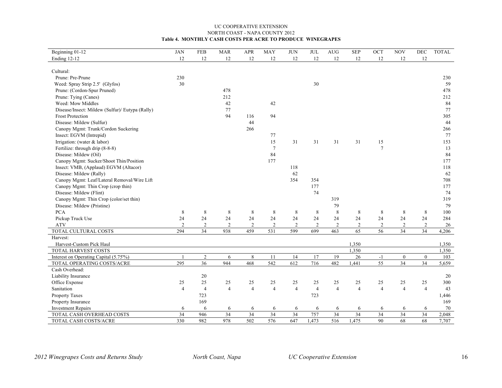#### UC COOPERATIVE EXTENSION NORTH COAST - NAPA COUNTY 2012 **Table 4. MONTHLY CASH COSTS PER ACRE TO PRODUCE WINEGRAPES**

| Beginning 01-12                                 | <b>JAN</b>     | ${\rm FEB}$     | <b>MAR</b>     | APR            | MAY            | $\rm JUN$      | <b>JUL</b>     | AUG            | $\ensuremath{\mathop{\mathbf{SEP}}\nolimits}$ | OCT             | <b>NOV</b>     | $\rm DEC$      | TOTAL |
|-------------------------------------------------|----------------|-----------------|----------------|----------------|----------------|----------------|----------------|----------------|-----------------------------------------------|-----------------|----------------|----------------|-------|
| <b>Ending 12-12</b>                             | 12             | 12              | 12             | 12             | 12             | 12             | 12             | 12             | 12                                            | 12              | 12             | $12\,$         |       |
|                                                 |                |                 |                |                |                |                |                |                |                                               |                 |                |                |       |
| Cultural:                                       |                |                 |                |                |                |                |                |                |                                               |                 |                |                |       |
| Prune: Pre-Prune                                | 230            |                 |                |                |                |                |                |                |                                               |                 |                |                | 230   |
| Weed: Spray Strip 2.5' (Glyfos)                 | 30             |                 |                |                |                |                | 30             |                |                                               |                 |                |                | 59    |
| Prune: (Cordon-Spur Pruned)                     |                |                 | 478            |                |                |                |                |                |                                               |                 |                |                | 478   |
| Prune: Tying (Canes)                            |                |                 | 212            |                |                |                |                |                |                                               |                 |                |                | 212   |
| Weed: Mow Middles                               |                |                 | 42             |                | 42             |                |                |                |                                               |                 |                |                | 84    |
| Disease/Insect: Mildew (Sulfur)/ Eutypa (Rally) |                |                 | 77             |                |                |                |                |                |                                               |                 |                |                | 77    |
| <b>Frost Protection</b>                         |                |                 | 94             | 116            | 94             |                |                |                |                                               |                 |                |                | 305   |
| Disease: Mildew (Sulfur)                        |                |                 |                | 44             |                |                |                |                |                                               |                 |                |                | 44    |
| Canopy Mgmt: Trunk/Cordon Suckering             |                |                 |                | 266            |                |                |                |                |                                               |                 |                |                | 266   |
| Insect: EGVM (Intrepid)                         |                |                 |                |                | 77             |                |                |                |                                               |                 |                |                | 77    |
| Irrigation: (water & labor)                     |                |                 |                |                | 15             | 31             | 31             | 31             | 31                                            | 15              |                |                | 153   |
| Fertilize: through drip (8-8-8)                 |                |                 |                |                | $\overline{7}$ |                |                |                |                                               | $\overline{7}$  |                |                | 13    |
| Disease: Mildew (Oil)                           |                |                 |                |                | 84             |                |                |                |                                               |                 |                |                | 84    |
| Canopy Mgmt: Sucker/Shoot Thin/Position         |                |                 |                |                | 177            |                |                |                |                                               |                 |                |                | 177   |
| Insect: VMB, (Applaud) EGVM (Altacor)           |                |                 |                |                |                | 118            |                |                |                                               |                 |                |                | 118   |
| Disease: Mildew (Rally)                         |                |                 |                |                |                | 62             |                |                |                                               |                 |                |                | 62    |
| Canopy Mgmt: Leaf/Lateral Removal/Wire Lift     |                |                 |                |                |                | 354            | 354            |                |                                               |                 |                |                | 708   |
| Canopy Mgmt: Thin Crop (crop thin)              |                |                 |                |                |                |                | 177            |                |                                               |                 |                |                | 177   |
| Disease: Mildew (Flint)                         |                |                 |                |                |                |                | 74             |                |                                               |                 |                |                | 74    |
| Canopy Mgmt: Thin Crop (color/set thin)         |                |                 |                |                |                |                |                | 319            |                                               |                 |                |                | 319   |
| Disease: Mildew (Pristine)                      |                |                 |                |                |                |                |                | 79             |                                               |                 |                |                | 79    |
| <b>PCA</b>                                      | 8              | 8               | 8              | 8              | 8              | 8              | 8              | 8              | 8                                             | 8               | 8              | 8              | 100   |
| Pickup Truck Use                                | 24             | $24\,$          | 24             | 24             | 24             | 24             | 24             | 24             | 24                                            | 24              | $24\,$         | 24             | 284   |
| <b>ATV</b>                                      | $\overline{2}$ | 2               | $\overline{2}$ | $\overline{2}$ | $\overline{2}$ | $\overline{2}$ | $\overline{2}$ | $\overline{c}$ | 2                                             | 2               | $\overline{2}$ | $\overline{c}$ | 26    |
| TOTAL CULTURAL COSTS                            | 294            | 34              | 938            | 459            | 531            | 599            | 699            | 463            | 65                                            | 56              | 34             | 34             | 4,206 |
| Harvest:                                        |                |                 |                |                |                |                |                |                |                                               |                 |                |                |       |
| Harvest-Custom Pick Haul                        |                |                 |                |                |                |                |                |                | 1,350                                         |                 |                |                | 1,350 |
| TOTAL HARVEST COSTS                             |                |                 |                |                |                |                |                |                | 1,350                                         |                 |                |                | 1,350 |
| Interest on Operating Capital (5.75%)           |                | $\sqrt{2}$      | 6              | $\,$ 8 $\,$    | 11             | 14             | 17             | 19             | 26                                            | $-1$            | $\mathbf{0}$   | $\mathbf{0}$   | 103   |
| TOTAL OPERATING COSTS/ACRE                      | 295            | $\overline{36}$ | 944            | 468            | 542            | 612            | 716            | 482            | 1,441                                         | $\overline{55}$ | 34             | 34             | 5,659 |
| Cash Overhead:                                  |                |                 |                |                |                |                |                |                |                                               |                 |                |                |       |
| Liability Insurance                             |                | 20              |                |                |                |                |                |                |                                               |                 |                |                | 20    |
| Office Expense                                  | 25             | 25              | 25             | 25             | 25             | 25             | 25             | 25             | 25                                            | 25              | 25             | 25             | 300   |
| Sanitation                                      | $\overline{4}$ | $\overline{4}$  | $\overline{4}$ | $\overline{4}$ | $\overline{4}$ | $\overline{4}$ | $\overline{4}$ | $\overline{4}$ | $\overline{4}$                                | $\overline{4}$  | $\overline{4}$ | $\overline{4}$ | 43    |
| Property Taxes                                  |                | 723             |                |                |                |                | 723            |                |                                               |                 |                |                | 1,446 |
| Property Insurance                              |                | 169             |                |                |                |                |                |                |                                               |                 |                |                | 169   |
| <b>Investment Repairs</b>                       | 6              | 6               | 6              | 6              | 6              | 6              | 6              | 6              | 6                                             | 6               | 6              | 6              | 70    |
| TOTAL CASH OVERHEAD COSTS                       | 34             | 946             | 34             | 34             | 34             | 34             | 757            | 34             | 34                                            | 34              | 34             | 34             | 2,048 |
| TOTAL CASH COSTS/ACRE                           | 330            | 982             | 978            | 502            | 576            | 647            | 1,473          | 516            | 1,475                                         | 90              | 68             | 68             | 7,707 |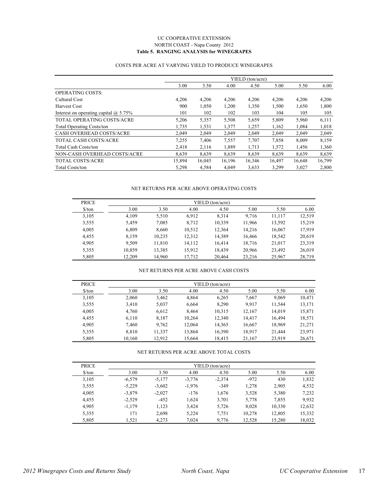#### UC COOPERATIVE EXTENSION NORTH COAST - Napa County 2012 **Table 5. RANGING ANALYSIS for WINEGRAPES**

#### COSTS PER ACRE AT VARYING YIELD TO PRODUCE WINEGRAPES

|                                              | YIELD (ton/acre) |        |        |        |        |        |        |  |  |  |
|----------------------------------------------|------------------|--------|--------|--------|--------|--------|--------|--|--|--|
|                                              | 3.00             | 3.50   | 4.00   | 4.50   | 5.00   | 5.50   | 6.00   |  |  |  |
| <b>OPERATING COSTS:</b>                      |                  |        |        |        |        |        |        |  |  |  |
| Cultural Cost                                | 4,206            | 4,206  | 4,206  | 4,206  | 4,206  | 4,206  | 4,206  |  |  |  |
| Harvest Cost                                 | 900              | 1,050  | 1,200  | 1,350  | 1,500  | 1,650  | 1,800  |  |  |  |
| Interest on operating capital $\omega$ 5.75% | 101              | 102    | 102    | 103    | 104    | 105    | 105    |  |  |  |
| TOTAL OPERATING COSTS/ACRE                   | 5,206            | 5,357  | 5,508  | 5,659  | 5,809  | 5,960  | 6,111  |  |  |  |
| <b>Total Operating Costs/ton</b>             | 1.735            | 1,531  | 1,377  | 1,257  | 1,162  | 1,084  | 1,018  |  |  |  |
| <b>CASH OVERHEAD COSTS/ACRE</b>              | 2.049            | 2,049  | 2,049  | 2,049  | 2.049  | 2.049  | 2,049  |  |  |  |
| TOTAL CASH COSTS/ACRE                        | 7,255            | 7,406  | 7,557  | 7,707  | 7,858  | 8,009  | 8,159  |  |  |  |
| <b>Total Cash Costs/ton</b>                  | 2,418            | 2,116  | 1,889  | 1,713  | 1,572  | 1,456  | 1,360  |  |  |  |
| NON-CASH OVERHEAD COSTS/ACRE                 | 8,639            | 8,639  | 8,639  | 8,639  | 8,639  | 8,639  | 8,639  |  |  |  |
| <b>TOTAL COSTS/ACRE</b>                      | 15,894           | 16,045 | 16,196 | 16,346 | 16,497 | 16,648 | 16,799 |  |  |  |
| Total Costs/ton                              | 5,298            | 4,584  | 4.049  | 3,633  | 3,299  | 3,027  | 2,800  |  |  |  |

#### NET RETURNS PER ACRE ABOVE OPERATING COSTS

| <b>PRICE</b>         | YIELD (ton/acre) |        |        |        |        |        |        |  |  |  |
|----------------------|------------------|--------|--------|--------|--------|--------|--------|--|--|--|
| $\frac{\sqrt{2}}{2}$ | 3.00             | 3.50   | 4.00   | 4.50   | 5.00   | 5.50   | 6.00   |  |  |  |
| 3,105                | 4.109            | 5,510  | 6,912  | 8.314  | 9.716  | 11.117 | 12,519 |  |  |  |
| 3,555                | 5,459            | 7,085  | 8,712  | 10,339 | 11,966 | 13,592 | 15,219 |  |  |  |
| 4,005                | 6.809            | 8.660  | 10,512 | 12.364 | 14,216 | 16,067 | 17,919 |  |  |  |
| 4,455                | 8.159            | 10,235 | 12,312 | 14,389 | 16,466 | 18,542 | 20,619 |  |  |  |
| 4,905                | 9.509            | 11,810 | 14.112 | 16,414 | 18,716 | 21,017 | 23,319 |  |  |  |
| 5,355                | 10.859           | 13,385 | 15.912 | 18.439 | 20,966 | 23.492 | 26,019 |  |  |  |
| 5,805                | 12.209           | 14.960 | 17.712 | 20,464 | 23,216 | 25,967 | 28,719 |  |  |  |

#### NET RETURNS PER ACRE ABOVE CASH COSTS

| <b>PRICE</b>         |        |        | YIELD (ton/acre) |        |        |        |        |
|----------------------|--------|--------|------------------|--------|--------|--------|--------|
| $\frac{\sqrt{2}}{2}$ | 3.00   | 3.50   | 4.00             | 4.50   | 5.00   | 5.50   | 6.00   |
| 3,105                | 2,060  | 3,462  | 4,864            | 6,265  | 7,667  | 9,069  | 10,471 |
| 3,555                | 3,410  | 5,037  | 6,664            | 8,290  | 9,917  | 11,544 | 13,171 |
| 4,005                | 4,760  | 6,612  | 8,464            | 10,315 | 12,167 | 14,019 | 15,871 |
| 4,455                | 6.110  | 8,187  | 10.264           | 12.340 | 14,417 | 16.494 | 18,571 |
| 4,905                | 7,460  | 9,762  | 12,064           | 14,365 | 16,667 | 18,969 | 21,271 |
| 5,355                | 8.810  | 11,337 | 13,864           | 16,390 | 18,917 | 21.444 | 23,971 |
| 5,805                | 10,160 | 12.912 | 15,664           | 18,415 | 21,167 | 23,919 | 26,671 |

| NET RETURNS PER ACRE ABOVE TOTAL COSTS |  |  |  |  |
|----------------------------------------|--|--|--|--|
|----------------------------------------|--|--|--|--|

| <b>PRICE</b>                  |          |          |          | YIELD (ton/acre) |        |        |        |  |
|-------------------------------|----------|----------|----------|------------------|--------|--------|--------|--|
| $\frac{\text{S}}{\text{ton}}$ | 3.00     | 3.50     | 4.00     | 4.50             | 5.00   | 5.50   | 6.00   |  |
| 3,105                         | $-6.579$ | $-5.177$ | $-3,776$ | $-2,374$         | $-972$ | 430    | 1,832  |  |
| 3,555                         | $-5,229$ | $-3,602$ | $-1,976$ | $-349$           | 1,278  | 2,905  | 4,532  |  |
| 4.005                         | $-3.879$ | $-2.027$ | $-176$   | 1,676            | 3,528  | 5,380  | 7,232  |  |
| 4,455                         | $-2,529$ | $-452$   | 1,624    | 3,701            | 5,778  | 7,855  | 9,932  |  |
| 4.905                         | $-1.179$ | 1,123    | 3,424    | 5,726            | 8.028  | 10,330 | 12,632 |  |
| 5,355                         | 171      | 2,698    | 5,224    | 7,751            | 10,278 | 12,805 | 15,332 |  |
| 5,805                         | 1.521    | 4,273    | 7.024    | 9,776            | 12,528 | 15.280 | 18,032 |  |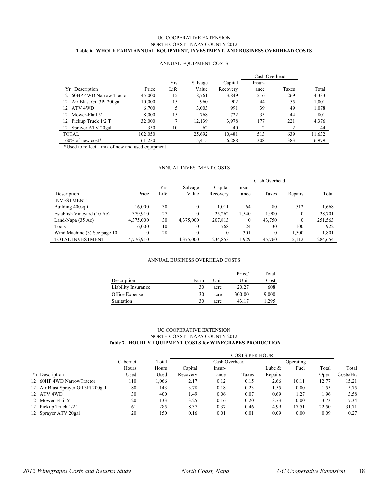#### UC COOPERATIVE EXTENSION NORTH COAST - NAPA COUNTY 2012 **Table 6. WHOLE FARM ANNUAL EQUIPMENT, INVESTMENT, AND BUSINESS OVERHEAD COSTS**

|                                |         |      |         |          | Cash Overhead |       |        |
|--------------------------------|---------|------|---------|----------|---------------|-------|--------|
|                                |         | Yrs  | Salvage | Capital  | Insur-        |       |        |
| Yr Description                 | Price   | Life | Value   | Recovery | ance          | Taxes | Total  |
| 12 60HP 4WD Narrow Tractor     | 45,000  | 15   | 8,761   | 3,849    | 216           | 269   | 4,333  |
| Air Blast Gil 3Pt 200gal<br>12 | 10,000  | 15   | 960     | 902      | 44            | 55    | 1,001  |
| ATV 4WD<br>12.                 | 6,700   | 5    | 3,003   | 991      | 39            | 49    | 1,078  |
| Mower-Flail 5'<br>12           | 8.000   | 15   | 768     | 722      | 35            | 44    | 801    |
| Pickup Truck 1/2 T             | 32,000  | σ    | 12,139  | 3,978    | 177           | 221   | 4,376  |
| 12 Sprayer ATV 20gal           | 350     | 10   | 62      | 40       |               |       | 44     |
| TOTAL                          | 102.050 |      | 25,692  | 10.481   | 513           | 639   | 11,632 |
| $60\%$ of new cost*            | 61.230  |      | 15.415  | 6.288    | 308           | 383   | 6,979  |

#### ANNUAL EQUIPMENT COSTS

\*Used to reflect a mix of new and used equipment

#### ANNUAL INVESTMENT COSTS

|                              |           |      |                  |          | Cash Overhead |          |          |         |
|------------------------------|-----------|------|------------------|----------|---------------|----------|----------|---------|
|                              |           | Yrs  | Salvage          | Capital  | Insur-        |          |          |         |
| Description                  | Price     | Life | Value            | Recovery | ance          | Taxes    | Repairs  | Total   |
| <b>INVESTMENT</b>            |           |      |                  |          |               |          |          |         |
| Building 400sqft             | 16.000    | 30   | $\theta$         | 1.011    | 64            | 80       | 512      | 1.668   |
| Establish Vineyard (10 Ac)   | 379,910   | 27   | $\boldsymbol{0}$ | 25,262   | 1,540         | 1.900    | 0        | 28,701  |
| Land-Napa (35 Ac)            | 4,375,000 | 30   | 4,375,000        | 207,813  | $\Omega$      | 43.750   | $\theta$ | 251,563 |
| Tools                        | 6.000     | 10   | $\boldsymbol{0}$ | 768      | 24            | 30       | 100      | 922     |
| Wind Machine (3) See page 10 | $\theta$  | 28   | $\theta$         | $\Omega$ | 301           | $\Omega$ | 1.500    | 1,801   |
| TOTAL INVESTMENT             | 4.776.910 |      | 4.375,000        | 234.853  | 1.929         | 45.760   | 2.112    | 284.654 |

#### ANNUAL BUSINESS OVERHEAD COSTS

|                     |      |      | Price/ | Total |
|---------------------|------|------|--------|-------|
| Description         | Farm | Unit | Unit   | Cost  |
| Liability Insurance | 30   | acre | 20.27  | 608   |
| Office Expense      | 30   | acre | 300.00 | 9,000 |
| Sanitation          | 30   | acre | 43.17  | 1.295 |

#### UC COOPERATIVE EXTENSION NORTH COAST - NAPA COUNTY 2012  **Table 7. HOURLY EQUIPMENT COSTS for WINEGRAPES PRODUCTION**

|                                     |          |       | <b>COSTS PER HOUR</b> |               |       |           |       |       |           |
|-------------------------------------|----------|-------|-----------------------|---------------|-------|-----------|-------|-------|-----------|
|                                     | Cabernet | Total |                       | Cash Overhead |       | Operating |       |       |           |
|                                     | Hours    | Hours | Capital               | Insur-        |       | Lube &    | Fuel  | Total | Total     |
| Yr Description                      | Used     | Used  | Recovery              | ance          | Taxes | Repairs   |       | Oper. | Costs/Hr. |
| 12 60HP 4WD NarrowTractor           | 110      | ,066  | 2.17                  | 0.12          | 0.15  | 2.66      | 10.11 | 12.77 | 15.21     |
| 12 Air Blast Sprayer Gil 3Pt 200gal | 80       | 143   | 3.78                  | 0.18          | 0.23  | 1.55      | 0.00  | 1.55  | 5.75      |
| 12 ATV 4WD                          | 30       | 400   | 49.،                  | 0.06          | 0.07  | 0.69      | 1.27  | l.96  | 3.58      |
| 12 Mower-Flail 5'                   | 20       | 133   | 3.25                  | 0.16          | 0.20  | 3.73      | 0.00  | 3.73  | 7.34      |
| 12 Pickup Truck 1/2 T               | 61       | 285   | 8.37                  | 0.37          | 0.46  | 4.99      | 17.51 | 22.50 | 31.71     |
| 12 Sprayer ATV 20gal                | 20       | 150   | 0.16                  | 0.01          | 0.01  | 0.09      | 0.00  | 0.09  | 0.27      |